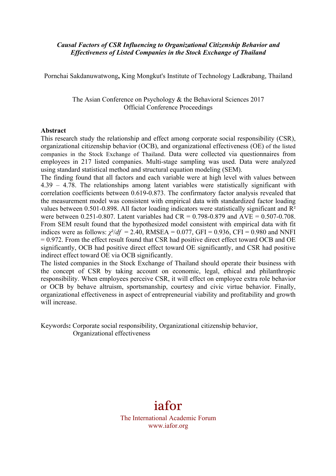# *Causal Factors of CSR Influencing to Organizational Citizenship Behavior and Effectiveness of Listed Companies in the Stock Exchange of Thailand*

Pornchai Sakdanuwatwong**,** King Mongkut's Institute of Technology Ladkrabang, Thailand

The Asian Conference on Psychology & the Behavioral Sciences 2017 Official Conference Proceedings

#### **Abstract**

This research study the relationship and effect among corporate social responsibility (CSR), organizational citizenship behavior (OCB), and organizational effectiveness (OE) of the listed companies in the Stock Exchange of Thailand. Data were collected via questionnaires from employees in 217 listed companies. Multi-stage sampling was used. Data were analyzed using standard statistical method and structural equation modeling (SEM).

The finding found that all factors and each variable were at high level with values between 4.39 – 4.78. The relationships among latent variables were statistically significant with correlation coefficients between 0.619-0.873. The confirmatory factor analysis revealed that the measurement model was consistent with empirical data with standardized factor loading values between 0.501-0.898. All factor loading indicators were statistically significant and R<sup>2</sup> were between 0.251-0.807. Latent variables had  $CR = 0.798 - 0.879$  and  $AVE = 0.507 - 0.708$ . From SEM result found that the hypothesized model consistent with empirical data with fit indices were as follows:  $\chi^2/df = 2.40$ , RMSEA = 0.077, GFI = 0.936, CFI = 0.980 and NNFI = 0.972. From the effect result found that CSR had positive direct effect toward OCB and OE significantly, OCB had positive direct effect toward OE significantly, and CSR had positive indirect effect toward OE via OCB significantly.

The listed companies in the Stock Exchange of Thailand should operate their business with the concept of CSR by taking account on economic, legal, ethical and philanthropic responsibility. When employees perceive CSR, it will effect on employee extra role behavior or OCB by behave altruism, sportsmanship, courtesy and civic virtue behavior. Finally, organizational effectiveness in aspect of entrepreneurial viability and profitability and growth will increase

Keywords**:** Corporate social responsibility, Organizational citizenship behavior, Organizational effectiveness

# iafor

The International Academic Forum www.iafor.org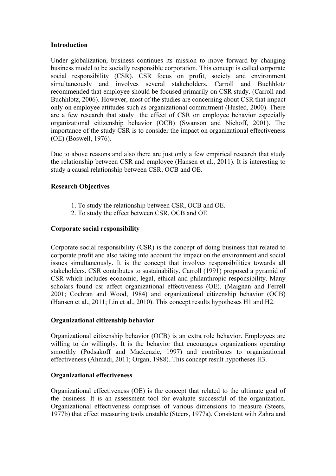# **Introduction**

Under globalization, business continues its mission to move forward by changing business model to be socially responsible corporation. This concept is called corporate social responsibility (CSR). CSR focus on profit, society and environment simultaneously and involves several stakeholders. Carroll and Buchhlotz recommended that employee should be focused primarily on CSR study. (Carroll and Buchhlotz, 2006). However, most of the studies are concerning about CSR that impact only on employee attitudes such as organizational commitment (Husted, 2000). There are a few research that study the effect of CSR on employee behavior especially organizational citizenship behavior (OCB) (Swanson and Niehoff, 2001). The importance of the study CSR is to consider the impact on organizational effectiveness (OE) (Boswell, 1976).

Due to above reasons and also there are just only a few empirical research that study the relationship between CSR and employee (Hansen et al., 2011). It is interesting to study a causal relationship between CSR, OCB and OE.

# **Research Objectives**

- 1. To study the relationship between CSR, OCB and OE.
- 2. To study the effect between CSR, OCB and OE

# **Corporate social responsibility**

Corporate social responsibility (CSR) is the concept of doing business that related to corporate profit and also taking into account the impact on the environment and social issues simultaneously. It is the concept that involves responsibilities towards all stakeholders. CSR contributes to sustainability. Carroll (1991) proposed a pyramid of CSR which includes economic, legal, ethical and philanthropic responsibility. Many scholars found csr affect organizational effectiveness (OE). (Maignan and Ferrell 2001; Cochran and Wood, 1984) and organizational citizenship behavior (OCB) (Hansen et al., 2011; Lin et al., 2010). This concept results hypotheses H1 and H2.

# **Organizational citizenship behavior**

Organizational citizenship behavior (OCB) is an extra role behavior. Employees are willing to do willingly. It is the behavior that encourages organizations operating smoothly (Podsakoff and Mackenzie, 1997) and contributes to organizational effectiveness (Ahmadi, 2011; Organ, 1988). This concept result hypotheses H3.

# **Organizational effectiveness**

Organizational effectiveness (OE) is the concept that related to the ultimate goal of the business. It is an assessment tool for evaluate successful of the organization. Organizational effectiveness comprises of various dimensions to measure (Steers, 1977b) that effect measuring tools unstable (Steers, 1977a). Consistent with Zahra and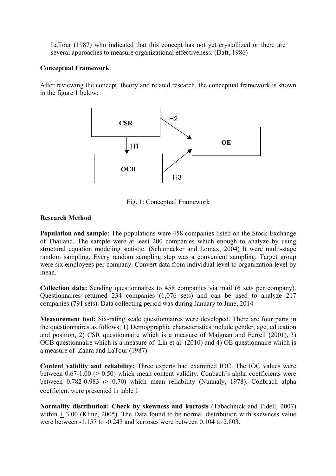LaTour (1987) who indicated that this concept has not yet crystallized or there are several approaches to measure organizational effectiveness. (Daft, 1986)

# **Conceptual Framework**

After reviewing the concept, theory and related research, the conceptual framework is shown in the figure 1 below:



Fig. 1: Conceptual Framework

# **Research Method**

**Population and sample:** The populations were 458 companies listed on the Stock Exchange of Thailand. The sample were at least 200 companies which enough to analyze by using structural equation modeling statistic. (Schumacker and Lomax, 2004) It were multi-stage random sampling. Every random sampling step was a convenient sampling. Target group were six employees per company. Convert data from individual level to organization level by mean.

**Collection data:** Sending questionnaires to 458 companies via mail (6 sets per company). Questionnaires returned 234 companies (1,076 sets) and can be used to analyze 217 companies (791 sets). Data collecting period was during January to June, 2014

**Measurement tool:** Six-rating scale questionnaires were developed. There are four parts in the questionnaires as follows; 1) Demogpraphic characteristics include gender, age, education and position, 2) CSR questionnaire which is a measure of Maignan and Ferrell (2001), 3) OCB questionnaire which is a measure of Lin et al. (2010) and 4) OE questionnaire which is a measure of Zahra and LaTour (1987)

**Content validity and reliability:** Three experts had examined IOC. The IOC values were between  $0.67-1.00$  ( $> 0.50$ ) which mean content validity. Conbach's alpha coefficients were between 0.782-0.983  $(> 0.70)$  which mean reliability (Nunnaly, 1978). Conbrach alpha coefficient were presented in table 1

**Normality distribution: Check by skewness and kurtosis** (Tabachnick and Fidell, 2007) within  $+ 3.00$  (Kline, 2005). The Data found to be normal distribution with skewness value were between -1.157 to -0.243 and kurtoses were between 0.104 to 2.803.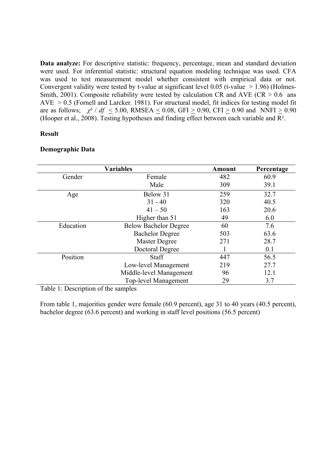**Data analyze:** For descriptive statistic: frequency, percentage, mean and standard deviation were used. For inferential statistic: structural equation modeling technique was used. CFA was used to test measurement model whether consistent with empirical data or not. Convergent validity were tested by t-value at significant level  $0.05$  (t-value  $> 1.96$ ) (Holmes-Smith, 2001). Composite reliability were tested by calculation CR and AVE ( $CR > 0.6$  ans  $AVE > 0.5$  (Fornell and Larcker. 1981). For structural model, fit indices for testing model fit are as follows;  $\chi^2$  / *df* < 5.00, RMSEA < 0.08, GFI > 0.90, CFI > 0.90 and NNFI > 0.90 (Hooper et al., 2008). Testing hypotheses and finding effect between each variable and R².

# **Result**

|           | <b>Variables</b>             | Amount | Percentage |
|-----------|------------------------------|--------|------------|
| Gender    | Female                       | 482    | 60.9       |
|           | Male                         | 309    | 39.1       |
| Age       | Below 31                     | 259    | 32.7       |
|           | $31 - 40$                    | 320    | 40.5       |
|           | $41 - 50$                    | 163    | 20.6       |
|           | Higher than 51               | 49     | 6.0        |
| Education | <b>Below Bachelor Degree</b> | 60     | 7.6        |
|           | <b>Bachelor Degree</b>       | 503    | 63.6       |
|           | Master Degree                | 271    | 28.7       |
|           | Doctoral Degree              |        | 0.1        |
| Position  | <b>Staff</b>                 | 447    | 56.5       |
|           | Low-level Management         | 219    | 27.7       |
|           | Middle-level Management      | 96     | 12.1       |
|           | Top-level Management         | 29     | 3.7        |

# **Demographic Data**

Table 1: Description of the samples

From table 1, majorities gender were female (60.9 percent), age 31 to 40 years (40.5 percent), bachelor degree (63.6 percent) and working in staff level positions (56.5 percent)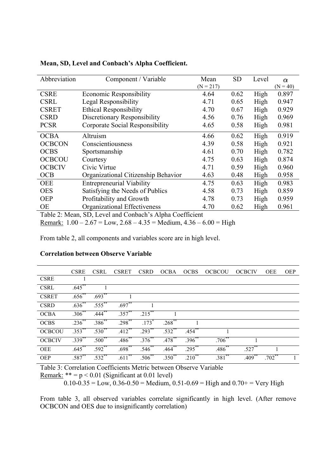| Abbreviation  | Component / Variable                     | Mean        | <b>SD</b> | Level | $\alpha$   |
|---------------|------------------------------------------|-------------|-----------|-------|------------|
|               |                                          | $(N = 217)$ |           |       | $(N = 40)$ |
| <b>CSRE</b>   | <b>Economic Responsibility</b>           | 4.64        | 0.62      | High  | 0.897      |
| <b>CSRL</b>   | Legal Responsibility                     | 4.71        | 0.65      | High  | 0.947      |
| <b>CSRET</b>  | <b>Ethical Responsibility</b>            | 4.70        | 0.67      | High  | 0.929      |
| <b>CSRD</b>   | Discretionary Responsibility             | 4.56        | 0.76      | High  | 0.969      |
| <b>PCSR</b>   | Corporate Social Responsibility          | 4.65        | 0.58      | High  | 0.981      |
| <b>OCBA</b>   | Altruism                                 | 4.66        | 0.62      | High  | 0.919      |
| <b>OCBCON</b> | Conscientiousness                        | 4.39        | 0.58      | High  | 0.921      |
| <b>OCBS</b>   | Sportsmanship                            | 4.61        | 0.70      | High  | 0.782      |
| <b>OCBCOU</b> | Courtesy                                 | 4.75        | 0.63      | High  | 0.874      |
| <b>OCBCIV</b> | Civic Virtue                             | 4.71        | 0.59      | High  | 0.960      |
| <b>OCB</b>    | Organizational Citizenship Behavior      | 4.63        | 0.48      | High  | 0.958      |
| <b>OEE</b>    | <b>Entrepreneurial Viability</b>         | 4.75        | 0.63      | High  | 0.983      |
| <b>OES</b>    | Satisfying the Needs of Publics          | 4.58        | 0.73      | High  | 0.859      |
| <b>OEP</b>    | Profitability and Growth                 | 4.78        | 0.73      | High  | 0.959      |
| <b>OE</b>     | Organizational Effectiveness             | 4.70        | 0.62      | High  | 0.961      |
| T 11 A M      | $\sim$ $\sim$<br>$CDT = 1$ 10 1 1 $M1$ 0 |             |           |       |            |

**Mean, SD, Level and Conbach's Alpha Coefficient.**

Table 2: Mean, SD, Level and Conbach's Alpha Coefficient Remark:  $1.00 - 2.67 =$  Low,  $2.68 - 4.35 =$  Medium,  $4.36 - 6.00 =$  High

From table 2, all components and variables score are in high level.

|               | <b>CSRE</b>          | <b>CSRL</b>        | <b>CSRET</b>         |                     | CSRD OCBA            | <b>OCBS</b>            | OCBCOU      | - OCBCIV             | OEE       | OEP |
|---------------|----------------------|--------------------|----------------------|---------------------|----------------------|------------------------|-------------|----------------------|-----------|-----|
| <b>CSRE</b>   |                      |                    |                      |                     |                      |                        |             |                      |           |     |
| <b>CSRL</b>   | $.645$ **            |                    |                      |                     |                      |                        |             |                      |           |     |
| <b>CSRET</b>  | $.656^{***}$         | .693               |                      |                     |                      |                        |             |                      |           |     |
| <b>CSRD</b>   | $.636^{**}$          | $.555***$          | $.697^{**}$          |                     |                      |                        |             |                      |           |     |
| <b>OCBA</b>   |                      | $.306^{**}$ .444** | $.357***$            | $.215***$           |                      |                        |             |                      |           |     |
| <b>OCBS</b>   | $.236$ **            | $.386^{**}$        | $.298$ <sup>**</sup> | $.173$ <sup>*</sup> | $.268$ <sup>**</sup> |                        |             |                      |           |     |
| <b>OCBCOU</b> | $.353$ <sup>**</sup> | $.530^{**}$        | $.412$ <sup>**</sup> | .293                | $.532$ **            | .454                   |             |                      |           |     |
| <b>OCBCIV</b> | $.339^{**}$          | $.500^{**}$        | $.486$ **            | $.376***$           | $.478***$            | $.396^{**}$            | $.706$ **   |                      |           |     |
| OEE           | $.645***$            | $.592$ **          | $.698$ <sup>**</sup> | $.546^{**}$         | $.464***$            | $.295***$              | $.486^{**}$ | $.527$ **            |           |     |
| <b>OEP</b>    | $.587^{**}$          | $.532***$          | $.611***$            | $.506^{**}$         | $.350^{**}$          | $.2\overline{10}^{**}$ | $.381$ **   | $.409$ <sup>**</sup> | $.702$ ** |     |

# **Correlation between Observe Variable**

Table 3: Correlation Coefficients Metric between Observe Variable

Remark:  $** = p < 0.01$  (Significant at 0.01 level)

 $0.10-0.35 =$  Low,  $0.36-0.50 =$  Medium,  $0.51-0.69 =$  High and  $0.70+$  = Very High

From table 3, all observed variables correlate significantly in high level. (After remove OCBCON and OES due to insignificantly correlation)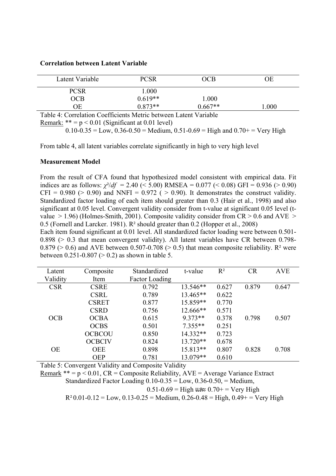#### **Correlation between Latent Variable**

| Latent Variable                                                                                                                                                                                                                                                                                                                    | <b>PCSR</b> | OCB       | ОE   |
|------------------------------------------------------------------------------------------------------------------------------------------------------------------------------------------------------------------------------------------------------------------------------------------------------------------------------------|-------------|-----------|------|
| <b>PCSR</b>                                                                                                                                                                                                                                                                                                                        | .000        |           |      |
| <b>OCB</b>                                                                                                                                                                                                                                                                                                                         | $0.619**$   | 1.000     |      |
| ОE                                                                                                                                                                                                                                                                                                                                 | $0.873**$   | $0.667**$ | .000 |
| $\overline{a}$ and $\overline{a}$ and $\overline{a}$ and $\overline{a}$ and $\overline{a}$ and $\overline{a}$ and $\overline{a}$ and $\overline{a}$ and $\overline{a}$ and $\overline{a}$ and $\overline{a}$ and $\overline{a}$ and $\overline{a}$ and $\overline{a}$ and $\overline{a}$ and $\overline{a}$ and $\overline{a}$ and |             |           |      |

Table 4: Correlation Coefficients Metric between Latent Variable

Remark:  $** = p < 0.01$  (Significant at 0.01 level)

 $0.10-0.35 =$  Low,  $0.36-0.50 =$  Medium,  $0.51-0.69 =$  High and  $0.70+$  = Very High

From table 4, all latent variables correlate significantly in high to very high level

#### **Measurement Model**

From the result of CFA found that hypothesized model consistent with empirical data. Fit indices are as follows:  $\chi^2/df = 2.40 \le 5.00$ ) RMSEA = 0.077 (< 0.08) GFI = 0.936 (> 0.90) CFI = 0.980 ( $> 0.90$ ) and NNFI = 0.972 ( $> 0.90$ ). It demonstrates the construct validity. Standardized factor loading of each item should greater than 0.3 (Hair et al., 1998) and also significant at 0.05 level. Convergent validity consider from t-value at significant 0.05 level (tvalue  $> 1.96$ ) (Holmes-Smith, 2001). Composite validity consider from CR  $> 0.6$  and AVE  $>$ 0.5 (Fornell and Larcker. 1981). R² should greater than 0.2 (Hopper et al., 2008)

Each item found significant at 0.01 level. All standardized factor loading were between 0.501- 0.898 (> 0.3 that mean convergent validity). All latent variables have CR between 0.798- 0.879 ( $> 0.6$ ) and AVE between 0.507-0.708 ( $> 0.5$ ) that mean composite reliability. R<sup>2</sup> were between  $0.251 - 0.807$  ( $> 0.2$ ) as shown in table 5.

| Latent     | Composite     | Standardized          | t-value    | $R^2$ | <b>CR</b> | <b>AVE</b> |
|------------|---------------|-----------------------|------------|-------|-----------|------------|
| Validity   | Item          | <b>Factor Loading</b> |            |       |           |            |
| <b>CSR</b> | <b>CSRE</b>   | 0.792                 | 13.546**   | 0.627 | 0.879     | 0.647      |
|            | <b>CSRL</b>   | 0.789                 | $13.465**$ | 0.622 |           |            |
|            | <b>CSRET</b>  | 0.877                 | 15.859**   | 0.770 |           |            |
|            | <b>CSRD</b>   | 0.756                 | 12.666**   | 0.571 |           |            |
| <b>OCB</b> | <b>OCBA</b>   | 0.615                 | $9.373**$  | 0.378 | 0.798     | 0.507      |
|            | <b>OCBS</b>   | 0.501                 | $7.355**$  | 0.251 |           |            |
|            | <b>OCBCOU</b> | 0.850                 | 14.332**   | 0.723 |           |            |
|            | <b>OCBCIV</b> | 0.824                 | $13.720**$ | 0.678 |           |            |
| <b>OE</b>  | <b>OEE</b>    | 0.898                 | $15.813**$ | 0.807 | 0.828     | 0.708      |
|            | <b>OEP</b>    | 0.781                 | 13.079**   | 0.610 |           |            |

Table 5: Convergent Validity and Composite Validity

Remark  $** = p < 0.01$ , CR = Composite Reliability, AVE = Average Variance Extract Standardized Factor Loading  $0.10 - 0.35 =$  Low,  $0.36 - 0.50$ ,  $=$  Medium,  $0.51 - 0.69$  = High และ  $0.70 +$  = Very High  $R^2 0.01 - 0.12 =$  Low,  $0.13 - 0.25 =$  Medium,  $0.26 - 0.48 =$  High,  $0.49 +$  = Very High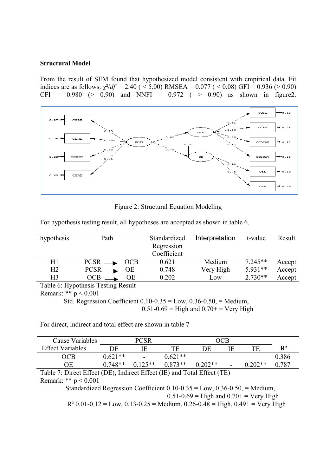#### **Structural Model**

From the result of SEM found that hypothesized model consistent with empirical data. Fit indices are as follows:  $\chi^2/df = 2.40$  ( < 5.00) RMSEA = 0.077 ( < 0.08) GFI = 0.936 (> 0.90) CFI =  $0.980$  (>  $0.90$ ) and NNFI =  $0.972$  ( > 0.90) as shown in figure2.



Figure 2: Structural Equation Modeling

| hypothesis     | Path       |            | Standardized<br>Regression<br>Coefficient | Interpretation | t-value   | Result |
|----------------|------------|------------|-------------------------------------------|----------------|-----------|--------|
| H1             | $PCSR$ —   | <b>OCB</b> | 0.621                                     | Medium         | $7.245**$ | Accept |
| H <sub>2</sub> | $PCSR$ —   | ОE         | 0.748                                     | Very High      | $5.931**$ | Accept |
| H3             | <b>OCB</b> | ОE         | 0.202                                     | Low            | $2.730**$ | Accept |

For hypothesis testing result, all hypotheses are accepted as shown in table 6.

Table 6: Hypothesis Testing Result

Remark: \*\* p < 0.001

 Std. Regression Coefficient 0.10-0.35 = Low, 0.36-0.50, = Medium,  $0.51 - 0.69$  = High and  $0.70$ + = Very High

For direct, indirect and total effect are shown in table 7

| Cause Variables         |           |           |           |                                                         | OCB            |           |                |
|-------------------------|-----------|-----------|-----------|---------------------------------------------------------|----------------|-----------|----------------|
| <b>Effect Variables</b> | DE        |           | TF        | DF                                                      | Æ              |           | $\mathbf{R}^2$ |
| OCB                     | $0.621**$ | $\sim$    | $0.621**$ |                                                         |                |           | 0.386          |
| ОE                      | $0.748**$ | $0.125**$ | $0.873**$ | $0.202**$                                               | $\blacksquare$ | $0.202**$ | 0.787          |
| T11.7 N                 |           |           |           | $1 \text{ T}$ $1 \text{ T}$ $1 \text{ T}$ $1 \text{ T}$ |                |           |                |

Table 7: Direct Effect (DE), Indirect Effect (IE) and Total Effect (TE) Remark: \*\* p < 0.001

 Standardized Regression Coefficient 0.10-0.35 = Low, 0.36-0.50, = Medium,  $0.51 - 0.69$  = High and  $0.70$  + = Very High  $R^2$  0.01-0.12 = Low, 0.13-0.25 = Medium, 0.26-0.48 = High, 0.49+ = Very High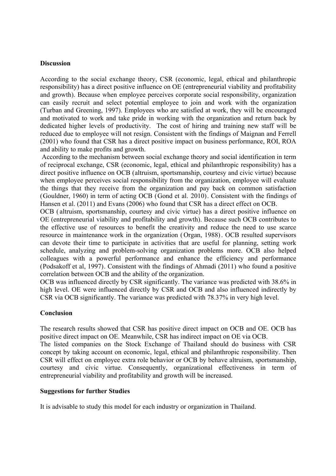# **Discussion**

According to the social exchange theory, CSR (economic, legal, ethical and philanthropic responsibility) has a direct positive influence on OE (entrepreneurial viability and profitability and growth). Because when employee perceives corporate social responsibility, organization can easily recruit and select potential employee to join and work with the organization (Turban and Greening, 1997). Employees who are satisfied at work, they will be encouraged and motivated to work and take pride in working with the organization and return back by dedicated higher levels of productivity. The cost of hiring and training new staff will be reduced due to employee will not resign. Consistent with the findings of Maignan and Ferrell (2001) who found that CSR has a direct positive impact on business performance, ROI, ROA and ability to make profits and growth.

According to the mechanism between social exchange theory and social identification in term of reciprocal exchange, CSR (economic, legal, ethical and philanthropic responsibility) has a direct positive influence on OCB (altruism, sportsmanship, courtesy and civic virtue) because when employee perceives social responsibility from the organization, employee will evaluate the things that they receive from the organization and pay back on common satisfaction (Gouldner, 1960) in term of acting OCB (Gond et al. 2010). Consistent with the findings of Hansen et al. (2011) and Evans (2006) who found that CSR has a direct effect on OCB.

OCB ( altruism, sportsmanship, courtesy and civic virtue) has a direct positive influence on OE (entrepreneurial viability and profitability and growth). Because such OCB contributes to the effective use of resources to benefit the creativity and reduce the need to use scarce resource in maintenance work in the organization (Organ, 1988). OCB resulted supervisors can devote their time to participate in activities that are useful for planning, setting work schedule, analyzing and problem-solving organization problems more. OCB also helped colleagues with a powerful performance and enhance the efficiency and performance (Podsakoff et al, 1997). Consistent with the findings of Ahmadi (2011) who found a positive correlation between OCB and the ability of the organization.

OCB was influenced directly by CSR significantly. The variance was predicted with 38.6% in high level. OE were influenced directly by CSR and OCB and also influenced indirectly by CSR via OCB significantly. The variance was predicted with 78.37% in very high level.

# **Conclusion**

The research results showed that CSR has positive direct impact on OCB and OE. OCB has positive direct impact on OE. Meanwhile, CSR has indirect impact on OE via OCB.

The listed companies on the Stock Exchange of Thailand should do business with CSR concept by taking account on economic, legal, ethical and philanthropic responsibility. Then CSR will effect on employee extra role behavior or OCB by behave altruism, sportsmanship, courtesy and civic virtue. Consequently, organizational effectiveness in term of entrepreneurial viability and profitability and growth will be increased.

#### **Suggestions for further Studies**

It is advisable to study this model for each industry or organization in Thailand.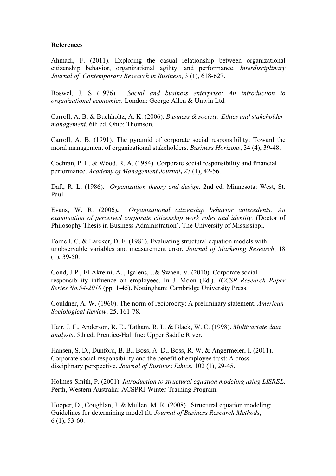#### **References**

Ahmadi, F. (2011). Exploring the casual relationship between organizational citizenship behavior, organizational agility, and performance. *Interdisciplinary Journal of Contemporary Research in Business*, 3 (1), 618-627.

Boswel, J. S (1976). *Social and business enterprise: An introduction to organizational economics.* London: George Allen & Unwin Ltd.

Carroll, A. B. & Buchholtz, A. K. (2006). *Business & society: Ethics and stakeholder management.* 6th ed. Ohio: Thomson.

Carroll, A. B. (1991). The pyramid of corporate social responsibility: Toward the moral management of organizational stakeholders. *Business Horizons*, 34 (4), 39-48.

Cochran, P. L. & Wood, R. A. (1984). Corporate social responsibility and financial performance. *Academy of Management Journal***,** 27 (1), 42-56.

Daft, R. L. (1986). *Organization theory and design.* 2nd ed. Minnesota: West, St. Paul.

Evans, W. R. (2006)**.** *Organizational citizenship behavior antecedents: An examination of perceived corporate citizenship work roles and identity.* (Doctor of Philosophy Thesis in Business Administration). The University of Mississippi.

Fornell, C. & Larcker, D. F. (1981). Evaluating structural equation models with unobservable variables and measurement error. *Journal of Marketing Research*, 18 (1), 39-50.

Gond, J-P., El-Akremi, A.., Igalens, J.& Swaen, V. (2010). Corporate social responsibility influence on employees. In J. Moon (Ed.). *ICCSR Research Paper Series No.54-2010* (pp. 1-45)**.** Nottingham: Cambridge University Press.

Gouldner, A. W. (1960). The norm of reciprocity: A preliminary statement. *American Sociological Review*, 25, 161-78.

Hair, J. F., Anderson, R. E., Tatham, R. L. & Black, W. C. (1998). *Multivariate data analysis***.** 5th ed. Prentice-Hall Inc: Upper Saddle River.

Hansen, S. D., Dunford, B. B., Boss, A. D., Boss, R. W. & Angermeier, I. (2011)**.**  Corporate social responsibility and the benefit of employee trust: A crossdisciplinary perspective. *Journal of Business Ethics*, 102 (1), 29-45.

Holmes-Smith, P. (2001). *Introduction to structural equation modeling using LISREL*. Perth, Western Australia: ACSPRI-Winter Training Program.

Hooper, D., Coughlan, J. & Mullen, M. R. (2008). Structural equation modeling: Guidelines for determining model fit. *Journal of Business Research Methods*, 6 (1), 53-60.